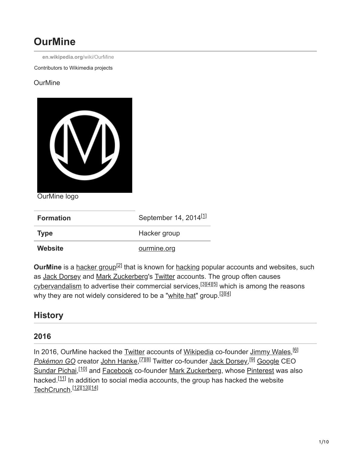# **OurMine**

**[en.wikipedia.org](https://en.wikipedia.org/wiki/OurMine)**/wiki/OurMine

Contributors to Wikimedia projects

#### **OurMine**



OurMine logo

| <b>Formation</b> | September 14, 2014 <sup>[1]</sup> |
|------------------|-----------------------------------|
| <b>Type</b>      | Hacker group                      |
| Website          | ourmine.org                       |

OurMine is a [hacker group](https://en.wikipedia.org/wiki/Hacker_group)<sup>[2]</sup> that is known for [hacking](https://en.wikipedia.org/wiki/Hacker) popular accounts and websites, such as [Jack Dorsey](https://en.wikipedia.org/wiki/Jack_Dorsey) and [Mark Zuckerberg'](https://en.wikipedia.org/wiki/Mark_Zuckerberg)s [Twitter](https://en.wikipedia.org/wiki/Twitter) accounts. The group often causes [cybervandalism](https://en.wikipedia.org/wiki/Cybervandalism) to advertise their commercial services,<sup>[3][4][5]</sup> which is among the reasons why they are not widely considered to be a "<u>white hat</u>" group.<sup>[3][4]</sup>

# **History**

### **2016**

In 2016, OurMine hacked the [Twitter](https://en.wikipedia.org/wiki/Twitter) accounts of [Wikipedia](https://en.wikipedia.org/wiki/Wikipedia) co-founder [Jimmy Wales,](https://en.wikipedia.org/wiki/Jimmy_Wales) <sup>[6]</sup> <u>[Pokémon GO](https://en.wikipedia.org/wiki/Pok%C3%A9mon_GO)</u> creator <u>[John Hanke,](https://en.wikipedia.org/wiki/John_Hanke) [Zl[8]</u> Twitter co-founder <u>[Jack Dorsey,](https://en.wikipedia.org/wiki/Jack_Dorsey) <sup>[9]</sup> Google</u> CEO [Sundar Pichai,](https://en.wikipedia.org/wiki/Sundar_Pichai)<sup>[10]</sup> and [Facebook](https://en.wikipedia.org/wiki/Facebook) co-founder [Mark Zuckerberg](https://en.wikipedia.org/wiki/Mark_Zuckerberg), whose [Pinterest](https://en.wikipedia.org/wiki/Pinterest) was also hacked.<sup>[11]</sup> In addition to social media accounts, the group has hacked the website <u>[TechCrunch](https://en.wikipedia.org/wiki/TechCrunch)</u>.<sup>[12][13][14]</sup>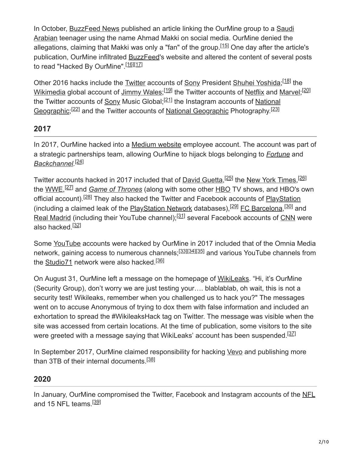[In October, BuzzFeed News published an article linking the OurMine group to a Saudi](https://en.wikipedia.org/wiki/Saudi_Arabia) Arabian teenager using the name Ahmad Makki on social media. OurMine denied the allegations, claiming that Makki was only a "fan" of the group.<sup>[15]</sup> One day after the article's publication, OurMine infiltrated [BuzzFeed](https://en.wikipedia.org/wiki/BuzzFeed)'s website and altered the content of several posts to read "Hacked By OurMine".<sup>[16][17]</sup>

Other 2016 hacks include the [Twitter](https://en.wikipedia.org/wiki/Twitter) accounts of [Sony](https://en.wikipedia.org/wiki/Sony) President [Shuhei Yoshida;](https://en.wikipedia.org/wiki/Shuhei_Yoshida) [18] the <u>[Wikimedia](https://en.wikipedia.org/wiki/Wikimedia)</u> global account of <u>[Jimmy Wales;](https://en.wikipedia.org/wiki/Jimmy_Wales)<sup>[19]</sup> t</u>he Twitter accounts of <u>[Netflix](https://en.wikipedia.org/wiki/Netflix)</u> and <u>[Marvel;](https://en.wikipedia.org/wiki/Marvel_Comics)<sup>[20]</sup></u> [the Twitter accounts of](https://en.wikipedia.org/wiki/National_Geographic_(magazine)) <u>[Sony](https://en.wikipedia.org/wiki/Sony)</u> Music Global;<sup>[21]</sup> the Instagram accounts of <u>National</u> Geographic;<sup>[22]</sup> and the Twitter accounts of [National Geographic](https://en.wikipedia.org/wiki/National_Geographic_(magazine)) Photography.<sup>[23]</sup>

## **2017**

In 2017, OurMine hacked into a [Medium website](https://en.wikipedia.org/wiki/Medium_(website)) employee account. The account was part of a strategic partnerships team, allowing OurMine to hijack blogs belonging to *[Fortune](https://en.wikipedia.org/wiki/Fortune_(magazine))* and *[Backchannel.](https://en.wikipedia.org/wiki/Backchannel_(blog))* [24]

Twitter accounts hacked in 2017 included that of <u>[David Guetta](https://en.wikipedia.org/wiki/David_Guetta),<sup>[25]</sup></u> the <u>New York Times,<sup>[26]</sup></u> the <u>[WWE,](https://en.wikipedia.org/wiki/WWE)<sup>[27]</sup> and *[Game of Thrones](https://en.wikipedia.org/wiki/Game_of_Thrones)*</u> (along with some other <u>HBO</u> TV shows, and [HBO](https://en.wikipedia.org/wiki/HBO)'s own official account).<sup>[28]</sup> They also hacked the Twitter and Facebook accounts of **[PlayStation](https://en.wikipedia.org/wiki/PlayStation)** (including a claimed leak of the **[PlayStation Network](https://en.wikipedia.org/wiki/PlayStation_Network)** databases),<sup>[29]</sup> [FC Barcelona,](https://en.wikipedia.org/wiki/FC_Barcelona)<sup>[30]</sup> and [Real Madrid](https://en.wikipedia.org/wiki/Real_Madrid) (including their YouTube channel);<sup>[31]</sup> several Facebook accounts of [CNN](https://en.wikipedia.org/wiki/CNN) were also hacked.<sup>[32]</sup>

Some [YouTube](https://en.wikipedia.org/wiki/YouTube) accounts were hacked by OurMine in 2017 included that of the Omnia Media network, gaining access to numerous channels;<sup>[33][34][35]</sup> and various YouTube channels from the <u>Studio71</u> network were also hacked.<sup>[36]</sup>

On August 31, OurMine left a message on the homepage of [WikiLeaks](https://en.wikipedia.org/wiki/WikiLeaks). "Hi, it's OurMine (Security Group), don't worry we are just testing your…. blablablab, oh wait, this is not a security test! Wikileaks, remember when you challenged us to hack you?" The messages went on to accuse Anonymous of trying to dox them with false information and included an exhortation to spread the #WikileaksHack tag on Twitter. The message was visible when the site was accessed from certain locations. At the time of publication, some visitors to the site were greeted with a message saying that WikiLeaks' account has been suspended.<sup>[37]</sup>

In September 2017, OurMine claimed responsibility for hacking [Vevo](https://en.wikipedia.org/wiki/Vevo) and publishing more than 3TB of their internal documents.<sup>[38]</sup>

### **2020**

In January, OurMine compromised the Twitter, Facebook and Instagram accounts of the [NFL](https://en.wikipedia.org/wiki/NFL) and 15 NFL teams.<sup>[39]</sup>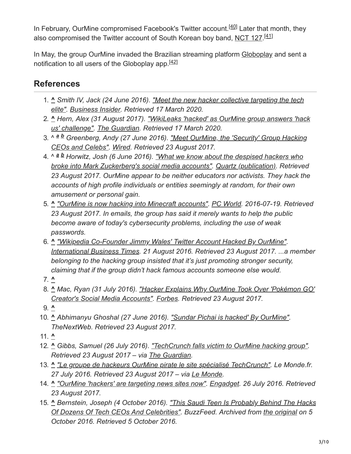In February, OurMine compromised Facebook's Twitter account.<sup>[40]</sup> Later that month, they also compromised the Twitter account of South Korean boy band, [NCT 127.](https://en.wikipedia.org/wiki/NCT_127)<sup>[41]</sup>

In May, the group OurMine invaded the Brazilian streaming platform [Globoplay](https://en.wikipedia.org/wiki/Globoplay) and sent a notification to all users of the Globoplay app.<sup>[42]</sup>

# **References**

- 1. **^** *[Smith IV, Jack \(24 June 2016\). "Meet the new hacker collective targeting the tech](http://www.businessinsider.com/ourmine-is-a-new-hacker-collective-targeting-tech-elite-2016-6) elite". [Business Insider.](https://en.wikipedia.org/wiki/Business_Insider) Retrieved 17 March 2020.*
- 2. **^** *[Hern, Alex \(31 August 2017\). "WikiLeaks 'hacked' as OurMine group answers 'hack](https://www.theguardian.com/technology/2017/aug/31/wikileaks-hacked-ourmine-group-julian-assange-dns-attack) us' challenge". [The Guardian.](https://en.wikipedia.org/wiki/The_Guardian) Retrieved 17 March 2020.*
- 3. ^ <sup>a b</sup> [Greenberg, Andy \(27 June 2016\). "Meet OurMine, the 'Security' Group Hacking](https://www.wired.com/2016/06/meet-ourmine-security-group-hacking-ceos-celebs/) *CEOs and Celebs". [Wired](https://en.wikipedia.org/wiki/Wired_(magazine)). Retrieved 23 August 2017.*
- 4. ^ <sup>a b</sup> Horwitz, Josh (6 June 2016). <u>"What we know about the despised hackers who</u> *[broke into Mark Zuckerberg's social media accounts". Quartz \(publication\). Retrieve](http://qz.com/700043/nobody-likes-the-hackers-who-broke-into-mark-zuckerbergs-twitter-account/)d 23 August 2017. OurMine appear to be neither educators nor activists. They hack the accounts of high profile individuals or entities seemingly at random, for their own amusement or personal gain.*
- 5. **^** *["OurMine is now hacking into Minecraft accounts".](http://www.pcworld.com/article/3097513/security/ourmine-is-now-breaking-into-minecraft-accounts.html) [PC World.](https://en.wikipedia.org/wiki/PC_World) 2016-07-19. Retrieved 23 August 2017. In emails, the group has said it merely wants to help the public become aware of today's cybersecurity problems, including the use of weak passwords.*
- 6. **^** *["Wikipedia Co-Founder Jimmy Wales' Twitter Account Hacked By OurMine".](http://www.ibtimes.com/wikipedia-co-founder-jimmy-wales-twitter-account-hacked-ourmine-2404899) [International Business Times.](https://en.wikipedia.org/wiki/International_Business_Times) 21 August 2016. Retrieved 23 August 2017. ...a member belonging to the hacking group insisted that it's just promoting stronger security, claiming that if the group didn't hack famous accounts someone else would.*
- 7. **^**
- 8. **^** *[Mac, Ryan \(31 July 2016\). "Hacker Explains Why OurMine Took Over 'Pokémon GO'](https://www.forbes.com/sites/ryanmac/2016/07/31/hacker-explains-why-he-took-over-pokemon-go-creators-social-media-accounts/) Creator's Social Media Accounts". [Forbes](https://en.wikipedia.org/wiki/Forbes). Retrieved 23 August 2017.*
- 9. **^**
- 10. **^** *Abhimanyu Ghoshal (27 June 2016). ["Sundar Pichai is hacked' By OurMine"](https://thenextweb.com/google/2016/06/27/someone-just-hacked-google-ceo-sundar-pichais-quora-account/). TheNextWeb. Retrieved 23 August 2017.*
- 11. **^**
- 12. **^** *Gibbs, Samuel (26 July 2016). ["TechCrunch falls victim to OurMine hacking group".](https://www.theguardian.com/technology/2016/jul/26/techcrunch-ourmine-hacking-group-attack) Retrieved 23 August 2017 – via [The Guardian](https://en.wikipedia.org/wiki/The_Guardian).*
- 13. **^** *["Le groupe de hackeurs OurMine pirate le site spécialisé TechCrunch".](http://www.lemonde.fr/pixels/article/2016/07/27/le-groupe-de-hackeurs-ourmine-pirate-le-site-specialise-techcrunch_4975353_4408996.html) Le Monde.fr. 27 July 2016. Retrieved 23 August 2017 – via [Le Monde.](https://en.wikipedia.org/wiki/Le_Monde)*
- 14. **^** *["OurMine 'hackers' are targeting news sites now"](https://www.engadget.com/2016/07/26/ourmine-techcrunch-compromise/). [Engadget](https://en.wikipedia.org/wiki/Engadget). 26 July 2016. Retrieved 23 August 2017.*
- 15. **^** *[Bernstein, Joseph \(4 October 2016\). "This Saudi Teen Is Probably Behind The Hacks](https://web.archive.org/web/20161005184531/https://www.buzzfeed.com/josephbernstein/this-saudi-teen-is-probably-behind-the-hacks-of-dozens-of-te) Of Dozens Of Tech CEOs And Celebrities". BuzzFeed. Archived from [the original](https://www.buzzfeed.com/josephbernstein/this-saudi-teen-is-probably-behind-the-hacks-of-dozens-of-te) on 5 October 2016. Retrieved 5 October 2016.*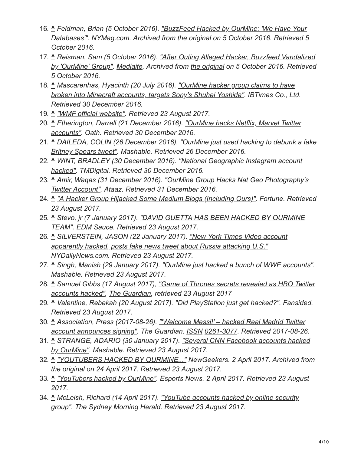- 16. **^** *Feldman, Brian (5 October 2016). "BuzzFeed Hacked by OurMine: 'We Have Your [Databases'". NYMag.com. Archived from the original on 5 October 2016. Retrieved 5](https://web.archive.org/web/20161005185937/http://nymag.com/selectall/2016/10/buzzfeed-hacked-by-ourmine-group.html) October 2016.*
- 17. **^** *Reisman, Sam (5 October 2016). "After Outing Alleged Hacker, Buzzfeed Vandalized [by 'OurMine' Group". Mediaite. Archived from the original on 5 October 2016. Retrieved](https://web.archive.org/web/20161005190431/http://www.mediaite.com/online/after-outing-alleged-hacker-buzzfeed-vandalized-by-ourmine-group/) 5 October 2016.*
- 18. **^** *Mascarenhas, Hyacinth (20 July 2016). "OurMine hacker group claims to have [broken into Minecraft accounts, targets Sony's Shuhei Yoshida". IBTimes Co., Lt](http://www.ibtimes.co.uk/ourmine-hacker-group-claims-have-broken-into-minecraft-accounts-targets-sonys-shuhei-yoshida-1571528)d. Retrieved 30 December 2016.*
- 19. **^** *["WMF official website".](https://meta.wikimedia.org/w/index.php?title=Special%3ALog&page=User%3AJimbo_Wales%40global) Retrieved 23 August 2017.*
- 20. **^** *[Etherington, Darrell \(21 December 2016\). "OurMine hacks Netflix, Marvel Twitter](https://techcrunch.com/2016/12/21/ourmine-hacks-netflixs-u-s-twitter-account/) accounts". Oath. Retrieved 30 December 2016.*
- 21. **^** *[DAILEDA, COLIN \(26 December 2016\). "OurMine just used hacking to debunk a fake](http://mashable.com/2016/12/26/ourmine-hack-debunk-britney-spears-tweet-sony/#HRf6aTCLKaqm) Britney Spears tweet". Mashable. Retrieved 26 December 2016.*
- 22. **^** *[WINT, BRADLEY \(30 December 2016\). "National Geographic Instagram account](https://www.trymodern.com/article/1330/national-geographic-instagram-account-hacked) hacked". TMDigital. Retrieved 30 December 2016.*
- 23. **^** *[Amir, Waqas \(31 December 2016\). "OurMine Group Hacks Nat Geo Photography's](https://www.hackread.com/ourmine-hacks-nat-geo-photography-twitter-account/) Twitter Account". Ataaz. Retrieved 31 December 2016.*
- 24. **^** *["A Hacker Group Hijacked Some Medium Blogs \(Including Ours\)".](http://fortune.com/2017/04/27/medium-ourmine-hack/) Fortune. Retrieved 23 August 2017.*
- 25. **^** *[Stevo, jr \(7 January 2017\). "DAVID GUETTA HAS BEEN HACKED BY OURMINE](https://www.edmsauce.com/2016/06/07/david-guetta-hacked-ourmine-team/) TEAM". EDM Sauce. Retrieved 23 August 2017.*
- 26. **^** *[SILVERSTEIN, JASON \(22 January 2017\). "New York Times Video account](http://www.nydailynews.com/news/national/new-york-times-account-hacked-tweet-russia-attack-article-1.2952908) apparently hacked, posts fake news tweet about Russia attacking U.S." NYDailyNews.com. Retrieved 23 August 2017.*
- 27. **^** *Singh, Manish (29 January 2017). ["OurMine just hacked a bunch of WWE accounts"](http://mashable.com/2017/01/29/wwe-accounts-twitter-hack-ourmine/#hwziM1cORkqc). Mashable. Retrieved 23 August 2017.*
- 28. **^** *[Samuel Gibbs \(17 August 2017\), "Game of Thrones secrets revealed as HBO Twitter](https://www.theguardian.com/media/2017/aug/17/game-of-thrones-secrets-revealed-as-hbo-twitter-accounts-hacked) accounts hacked", [The Guardian](https://en.wikipedia.org/wiki/The_Guardian), retrieved 23 August 2017*
- 29. **^** *Valentine, Rebekah (20 August 2017). ["Did PlayStation just get hacked?".](https://apptrigger.com/2017/08/20/playstation-just-get-hacked/) Fansided. Retrieved 23 August 2017.*
- 30. **^** *[Association, Press \(2017-08-26\). "'Welcome Messi!' hacked Real Madrid Twitter](https://www.theguardian.com/football/2017/aug/26/hacked-real-madrid-twitter-lionel-messi) account announces signing". The Guardian. [ISSN](https://en.wikipedia.org/wiki/ISSN_(identifier)) [0261-3077](https://www.worldcat.org/issn/0261-3077). Retrieved 2017-08-26.*
- 31. **^** *[STRANGE, ADARIO \(30 January 2017\). "Several CNN Facebook accounts hacked](http://mashable.com/2017/01/29/cnn-facebook-account-hacked/#bIeLmYv6Rqqx) by OurMine". Mashable. Retrieved 23 August 2017.*
- 32. **^** *["YOUTUBERS HACKED BY OURMINE..."](https://web.archive.org/web/20170424234040/http://newgeekers.com/index.php/2017/04/02/youtubers-hacked-by-ourmine-together-with-foxdrop-nightblue3-kiandymundi-leafyishere/) NewGeekers. 2 April 2017. Archived from [the original](http://newgeekers.com/index.php/2017/04/02/youtubers-hacked-by-ourmine-together-with-foxdrop-nightblue3-kiandymundi-leafyishere/) on 24 April 2017. Retrieved 23 August 2017.*
- 33. **^** *["YouTubers hacked by OurMine"](http://www.esports-news.co.uk/2017/04/02/youtubers-hacked-by-ourmine/). Esports News. 2 April 2017. Retrieved 23 August 2017.*
- 34. **^** *[McLeish, Richard \(14 April 2017\). "YouTube accounts hacked by online security](https://www.smh.com.au/technology/technology-news/youtube-accounts-hacked-by-online-security-group-20170414-gvl31k.html) group". The Sydney Morning Herald. Retrieved 23 August 2017.*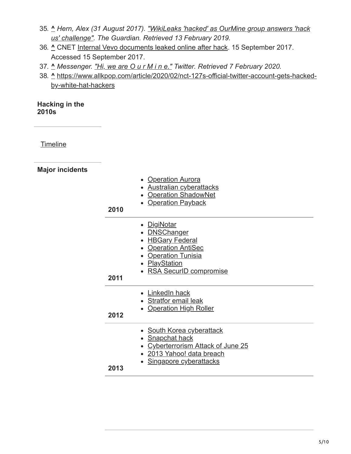- 35. **^** *[Hern, Alex \(31 August 2017\). "WikiLeaks 'hacked' as OurMine group answers 'hack](https://www.theguardian.com/technology/2017/aug/31/wikileaks-hacked-ourmine-group-julian-assange-dns-attack) us' challenge". The Guardian. Retrieved 13 February 2019.*
- 36. **^** CNET [Internal Vevo documents leaked online after hack.](https://www.cnet.com/uk/news/internal-vevo-documents-leaked-online-after-hack/) 15 September 2017. Accessed 15 September 2017.
- 37. **^** *Messenger. ["Hi, we are O u r M i n e."](https://twitter.com/messenger/status/1225930461660270593) Twitter. Retrieved 7 February 2020.*
- 38. **^** [https://www.allkpop.com/article/2020/02/nct-127s-official-twitter-account-gets-hacked](https://www.allkpop.com/article/2020/02/nct-127s-official-twitter-account-gets-hacked-by-white-hat-hackers)by-white-hat-hackers

#### **Hacking in the 2010s**

**[Timeline](https://en.wikipedia.org/wiki/Timeline_of_computer_security_hacker_history#2010s)** 

**Major incidents**

| 2010 | • Operation Aurora<br>• Australian cyberattacks<br>• Operation ShadowNet<br>• Operation Payback                                                          |
|------|----------------------------------------------------------------------------------------------------------------------------------------------------------|
| 2011 | • <u>DigiNotar</u><br>• <b>DNSChanger</b><br>• HBGary Federal<br>• Operation AntiSec<br>• Operation Tunisia<br>• PlayStation<br>• RSA SecurID compromise |
| 2012 | • LinkedIn hack<br>• Stratfor email leak<br>• Operation High Roller                                                                                      |
| 2013 | • South Korea cyberattack<br>• Snapchat hack<br>• Cyberterrorism Attack of June 25<br>· 2013 Yahoo! data breach<br>Singapore cyberattacks                |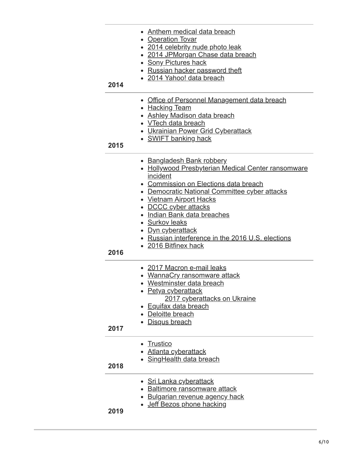| 2014 | Anthem medical data breach<br>• Operation Tovar<br>• 2014 celebrity nude photo leak<br>2014 JPMorgan Chase data breach<br><b>Sony Pictures hack</b><br>Russian hacker password theft<br>• 2014 Yahoo! data breach                                                                                                                                                                                   |
|------|-----------------------------------------------------------------------------------------------------------------------------------------------------------------------------------------------------------------------------------------------------------------------------------------------------------------------------------------------------------------------------------------------------|
| 2015 | Office of Personnel Management data breach<br>• Hacking Team<br>• Ashley Madison data breach<br>• VTech data breach<br><b>Ukrainian Power Grid Cyberattack</b><br>• SWIFT banking hack                                                                                                                                                                                                              |
| 2016 | • Bangladesh Bank robbery<br>• Hollywood Presbyterian Medical Center ransomware<br>incident<br>• Commission on Elections data breach<br>• Democratic National Committee cyber attacks<br><b>Vietnam Airport Hacks</b><br>• DCCC cyber attacks<br>Indian Bank data breaches<br>• Surkov leaks<br><u>Dyn cyberattack</u><br>• Russian interference in the 2016 U.S. elections<br>• 2016 Bitfinex hack |
| 2017 | • 2017 Macron e-mail leaks<br>• WannaCry ransomware attack<br>Westminster data breach<br>• Petya cyberattack<br>2017 cyberattacks on Ukraine<br><b>Equifax data breach</b><br>Deloitte breach<br>Disqus breach                                                                                                                                                                                      |
| 2018 | <b>Trustico</b><br><u>Atlanta cyberattack</u><br>• SingHealth data breach                                                                                                                                                                                                                                                                                                                           |
| 2019 | • Sri Lanka cyberattack<br><b>Baltimore ransomware attack</b><br><b>Bulgarian revenue agency hack</b><br>Jeff Bezos phone hacking                                                                                                                                                                                                                                                                   |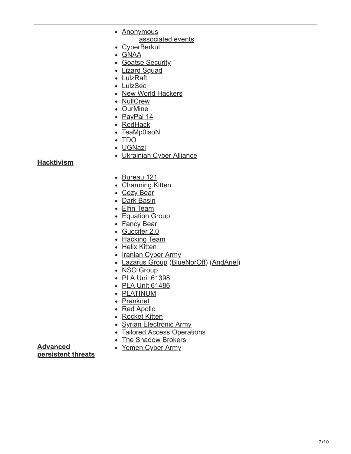|                   | • Anonymous                             |
|-------------------|-----------------------------------------|
|                   | associated events                       |
|                   | <b>CyberBerkut</b>                      |
|                   | • GNAA                                  |
|                   | • Goatse Security                       |
|                   | • Lizard Squad                          |
|                   | • LulzRaft                              |
|                   | • LulzSec                               |
|                   | • New World Hackers                     |
|                   | • NullCrew                              |
|                   | • OurMine                               |
|                   | • PayPal 14                             |
|                   | • RedHack                               |
|                   | • TeaMp0isoN                            |
|                   | $\bullet$ TDO                           |
|                   | · UGNazi                                |
|                   | • Ukrainian Cyber Alliance              |
| <b>Hacktivism</b> |                                         |
|                   |                                         |
|                   | • Bureau 121                            |
|                   | • Charming Kitten                       |
|                   | • Cozy Bear                             |
|                   | • Dark Basin                            |
|                   | • Elfin Team                            |
|                   | • Equation Group                        |
|                   | • Fancy Bear                            |
|                   | • Guccifer 2.0                          |
|                   | • Hacking Team                          |
|                   | • Helix Kitten                          |
|                   | • Iranian Cyber Army                    |
|                   | • Lazarus Group (BlueNorOff) (AndAriel) |
|                   | • NSO Group                             |
|                   | • PLA Unit 61398                        |
|                   | • PLA Unit 61486                        |
|                   | • PLATINUM                              |
|                   | • Pranknet                              |
|                   | • Red Apollo                            |
|                   | • Rocket Kitten                         |
|                   | • Syrian Electronic Army                |

- [Tailored Access Operations](https://en.wikipedia.org/wiki/Tailored_Access_Operations)
- [The Shadow Brokers](https://en.wikipedia.org/wiki/The_Shadow_Brokers)
- [Yemen Cyber Army](https://en.wikipedia.org/wiki/Yemen_Cyber_Army)

**Advanced [persistent threats](https://en.wikipedia.org/wiki/Advanced_persistent_threat)**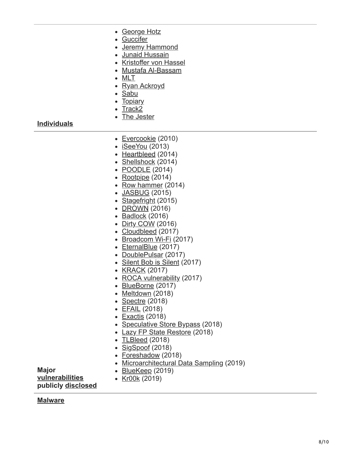- [George Hotz](https://en.wikipedia.org/wiki/George_Hotz)
- [Guccifer](https://en.wikipedia.org/wiki/Guccifer)
- [Jeremy Hammond](https://en.wikipedia.org/wiki/Jeremy_Hammond)
- [Junaid Hussain](https://en.wikipedia.org/wiki/Junaid_Hussain)
- [Kristoffer von Hassel](https://en.wikipedia.org/wiki/Kristoffer_von_Hassel)
- [Mustafa Al-Bassam](https://en.wikipedia.org/wiki/Mustafa_Al-Bassam)
- [MLT](https://en.wikipedia.org/wiki/MLT_(hacktivist))
- [Ryan Ackroyd](https://en.wikipedia.org/wiki/Ryan_Ackroyd)
- [Sabu](https://en.wikipedia.org/wiki/Hector_Monsegur)
- [Topiary](https://en.wikipedia.org/wiki/Topiary_(hacktivist))
- $\bullet$  [Track2](https://en.wikipedia.org/wiki/Roman_Seleznev)
- [The Jester](https://en.wikipedia.org/wiki/The_Jester_(hacktivist))

**[Individuals](https://en.wikipedia.org/wiki/Hacker)**

- [Evercookie](https://en.wikipedia.org/wiki/Evercookie) (2010)
- $\bullet$  [iSeeYou](https://en.wikipedia.org/wiki/ISeeYou) (2013)
- [Heartbleed](https://en.wikipedia.org/wiki/Heartbleed) (2014)
- [Shellshock](https://en.wikipedia.org/wiki/Shellshock_(software_bug)) (2014)
- **[POODLE](https://en.wikipedia.org/wiki/POODLE)** (2014)
- $\cdot$  [Rootpipe](https://en.wikipedia.org/wiki/Rootpipe) (2014)
- [Row hammer](https://en.wikipedia.org/wiki/Row_hammer)  $(2014)$
- [JASBUG](https://en.wikipedia.org/wiki/JASBUG) (2015)
- [Stagefright](https://en.wikipedia.org/wiki/Stagefright_(bug)) (2015)
- [DROWN](https://en.wikipedia.org/wiki/DROWN_attack) (2016)
- $\bullet$  [Badlock](https://en.wikipedia.org/wiki/Badlock) (2016)
- [Dirty COW](https://en.wikipedia.org/wiki/Dirty_COW) (2016)
- [Cloudbleed](https://en.wikipedia.org/wiki/Cloudbleed) (2017)
- [Broadcom Wi-Fi](https://en.wikipedia.org/wiki/Broadcom_Corporation#soc-wifi-vulns) (2017)
- [EternalBlue](https://en.wikipedia.org/wiki/EternalBlue) (2017)
- [DoublePulsar](https://en.wikipedia.org/wiki/DoublePulsar) (2017)
- [Silent Bob is Silent](https://en.wikipedia.org/wiki/Intel_Active_Management_Technology#Silent_Bob_is_Silent) (2017)
- [KRACK](https://en.wikipedia.org/wiki/KRACK) (2017)
- [ROCA vulnerability](https://en.wikipedia.org/wiki/ROCA_vulnerability) (2017)
- [BlueBorne](https://en.wikipedia.org/wiki/BlueBorne_(security_vulnerability)) (2017)
- [Meltdown](https://en.wikipedia.org/wiki/Meltdown_(security_vulnerability)) (2018)
- [Spectre](https://en.wikipedia.org/wiki/Spectre_(security_vulnerability)) (2018)
- [EFAIL](https://en.wikipedia.org/wiki/EFAIL) (2018)
- [Exactis](https://en.wikipedia.org/wiki/Exactis) (2018)
- [Speculative Store Bypass](https://en.wikipedia.org/wiki/Speculative_Store_Bypass) (2018)
- [Lazy FP State Restore](https://en.wikipedia.org/wiki/Lazy_FP_State_Restore) (2018)
- [TLBleed](https://en.wikipedia.org/wiki/TLBleed) (2018)
- [SigSpoof](https://en.wikipedia.org/wiki/SigSpoof) (2018)
- [Foreshadow](https://en.wikipedia.org/wiki/Foreshadow) (2018)
- [Microarchitectural Data Sampling](https://en.wikipedia.org/wiki/Microarchitectural_Data_Sampling) (2019)
- [BlueKeep](https://en.wikipedia.org/wiki/BlueKeep) (2019) • [Kr00k](https://en.wikipedia.org/wiki/Kr00k) (2019)

**[vulnerabilities](https://en.wikipedia.org/wiki/Vulnerability_(computing)) publicly [disclosed](https://en.wikipedia.org/wiki/Full_disclosure_(computer_security))**

#### **[Malware](https://en.wikipedia.org/wiki/Malware)**

**Major**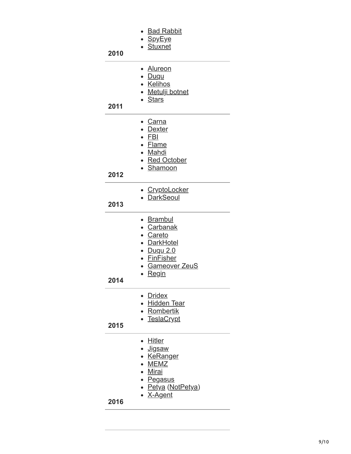| 2010 | ● <u>Bad Rabbit</u><br><u>• SpyEye</u><br>• Stuxnet                                                                   |
|------|-----------------------------------------------------------------------------------------------------------------------|
| 2011 | • Alureon<br>· Duqu<br>· Kelihos<br>• Metulji botnet<br>• Stars                                                       |
| 2012 | • <u>Carna</u><br>• <u>Dexter</u><br>$\bullet$ FBI<br>• Flame<br>• Mahdi<br>• Red October<br>• Shamoon                |
| 2013 | · CryptoLocker<br>• DarkSeoul                                                                                         |
| 2014 | • Brambul<br>• Carbanak<br>· Careto<br>• DarkHotel<br>• Duqu 2.0<br>• FinFisher<br>• Gameover ZeuS<br>Regin           |
| 2015 | <b>Dridex</b><br>· Hidden Tear<br>• Rombertik<br>• TeslaCrypt                                                         |
| 2016 | • Hitler<br>∙ <u>Jigsaw</u><br>• KeRanger<br>• MEMZ<br>• Mirai<br>• Pegasus<br>• <u>Petya</u> (NotPetya)<br>• X-Agent |